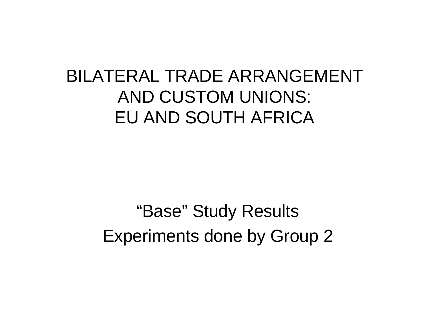### BILATERAL TRADE ARRANGEMENT AND CUSTOM UNIONS: EU AND SOUTH AFRICA

"Base" Study Results Experiments done by Group 2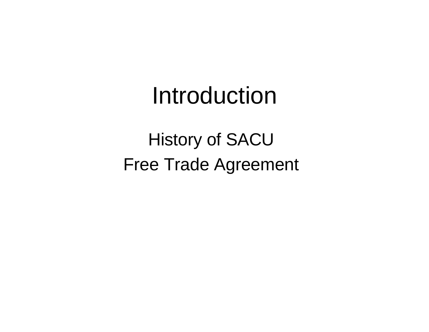## Introduction

History of SACU Free Trade Agreement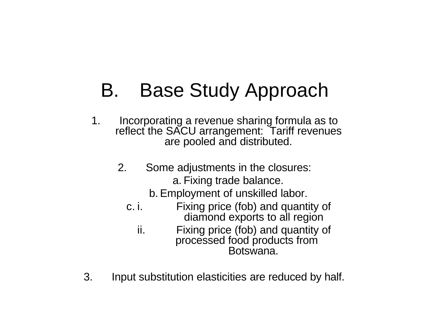## B. Base Study Approach

- 1. Incorporating a revenue sharing formula as to reflect the SACU arrangement: Tariff revenues are pooled and distributed.
	- 2. Some adjustments in the closures: a. Fixing trade balance.

b. Employment of unskilled labor.

- c. i. Fixing price (fob) and quantity of diamond exports to all region
	- ii. Fixing price (fob) and quantity of processed food products from Botswana.
- 3. Input substitution elasticities are reduced by half.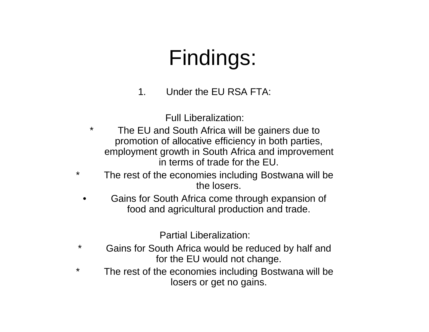## Findings:

1. Under the EU RSA FTA:

Full Liberalization:

- \* The EU and South Africa will be gainers due to promotion of allocative efficiency in both parties, employment growth in South Africa and improvement in terms of trade for the EU.
- \* The rest of the economies including Bostwana will be the losers.
	- Gains for South Africa come through expansion of food and agricultural production and trade.

Partial Liberalization:

- \* Gains for South Africa would be reduced by half and for the EU would not change.
- \* The rest of the economies including Bostwana will be losers or get no gains.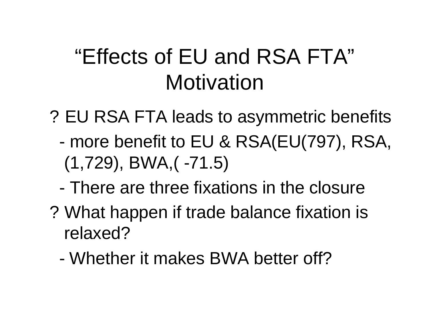## "Effects of EU and RSA FTA" Motivation

- ? EU RSA FTA leads to asymmetric benefits
	- more benefit to EU & RSA(EU(797), RSA, (1,729), BWA,( -71.5)
	- There are three fixations in the closure
- ? What happen if trade balance fixation is relaxed?
	- Whether it makes BWA better off?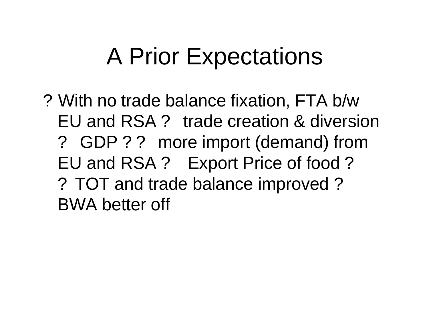# A Prior Expectations

? With no trade balance fixation, FTA b/w EU and RSA ? trade creation & diversion ? GDP ? ? more import (demand) from EU and RSA ? Export Price of food ? ? TOT and trade balance improved ? BWA better off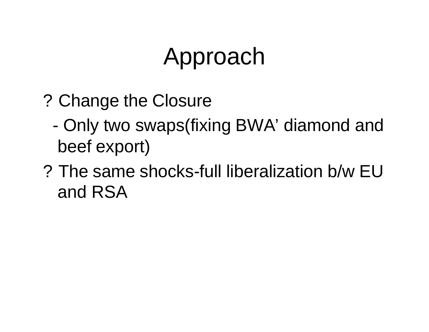# Approach

- ? Change the Closure
	- Only two swaps(fixing BWA' diamond and beef export)
- ? The same shocks-full liberalization b/w EU and RSA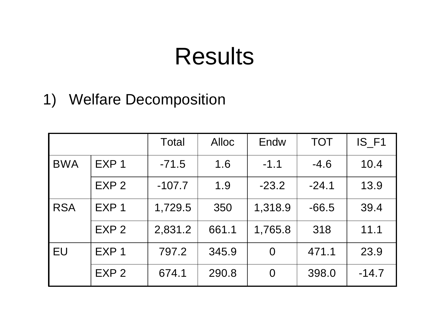## Results

1) Welfare Decomposition

|            |                  | Total    | <b>Alloc</b> | Endw           | <b>TOT</b> | IS_F1   |
|------------|------------------|----------|--------------|----------------|------------|---------|
| <b>BWA</b> | EXP <sub>1</sub> | $-71.5$  | 1.6          | $-1.1$         | $-4.6$     | 10.4    |
|            | EXP <sub>2</sub> | $-107.7$ | 1.9          | $-23.2$        | $-24.1$    | 13.9    |
| <b>RSA</b> | EXP <sub>1</sub> | 1,729.5  | 350          | 1,318.9        | $-66.5$    | 39.4    |
|            | EXP <sub>2</sub> | 2,831.2  | 661.1        | 1,765.8        | 318        | 11.1    |
| EU         | EXP <sub>1</sub> | 797.2    | 345.9        | $\overline{0}$ | 471.1      | 23.9    |
|            | EXP <sub>2</sub> | 674.1    | 290.8        | $\overline{0}$ | 398.0      | $-14.7$ |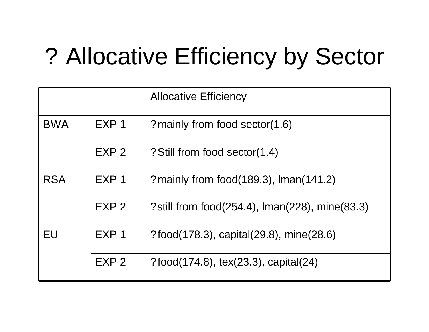# ? Allocative Efficiency by Sector

|            |                  | <b>Allocative Efficiency</b>                    |
|------------|------------------|-------------------------------------------------|
| <b>BWA</b> | EXP <sub>1</sub> | ? mainly from food sector(1.6)                  |
|            | EXP <sub>2</sub> | ? Still from food sector(1.4)                   |
| <b>RSA</b> | EXP <sub>1</sub> | ? mainly from food $(189.3)$ , Iman $(141.2)$   |
|            | EXP <sub>2</sub> | ? still from food(254.4), Iman(228), mine(83.3) |
| EU         | EXP <sub>1</sub> | $?$ food(178.3), capital(29.8), mine(28.6)      |
|            | EXP <sub>2</sub> | ?food(174.8), tex(23.3), capital(24)            |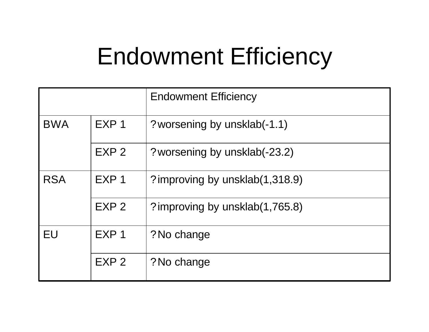## Endowment Efficiency

|                                |                  | <b>Endowment Efficiency</b>     |  |
|--------------------------------|------------------|---------------------------------|--|
| <b>BWA</b><br>EXP <sub>1</sub> |                  | ? worsening by unsklab(-1.1)    |  |
|                                | EXP <sub>2</sub> | ? worsening by unsklab(-23.2)   |  |
| <b>RSA</b>                     | EXP <sub>1</sub> | ? improving by unsklab(1,318.9) |  |
|                                | EXP <sub>2</sub> | ? improving by unsklab(1,765.8) |  |
| <b>EU</b><br>EXP <sub>1</sub>  |                  | ? No change                     |  |
|                                | EXP <sub>2</sub> | ? No change                     |  |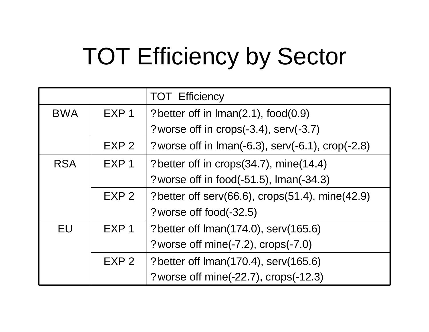# TOT Efficiency by Sector

|            |                  | <b>TOT Efficiency</b>                                               |
|------------|------------------|---------------------------------------------------------------------|
| <b>BWA</b> | EXP <sub>1</sub> | ? better off in Iman(2.1), food(0.9)                                |
|            |                  | ? worse off in crops(-3.4), serv(-3.7)                              |
|            | EXP <sub>2</sub> | ? worse off in $\text{Iman}(-6.3)$ , serv( $-6.1$ ), crop( $-2.8$ ) |
| <b>RSA</b> | EXP <sub>1</sub> | ? better off in crops(34.7), mine(14.4)                             |
|            |                  | ? worse off in food(-51.5), Iman(-34.3)                             |
|            | EXP <sub>2</sub> | ? better off serv(66.6), crops(51.4), mine(42.9)                    |
|            |                  | ? worse off food(-32.5)                                             |
| <b>EU</b>  | EXP <sub>1</sub> | ? better off Iman(174.0), serv(165.6)                               |
|            |                  | ? worse off mine(-7.2), crops(-7.0)                                 |
|            | EXP <sub>2</sub> | ? better off Iman(170.4), serv(165.6)                               |
|            |                  | ? worse off mine(-22.7), crops(-12.3)                               |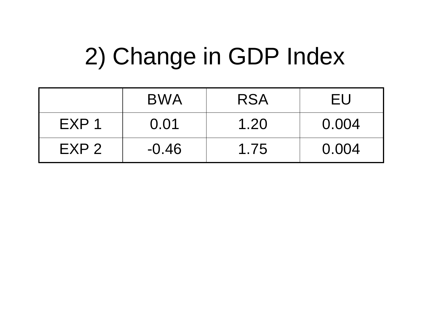# 2) Change in GDP Index

|                  | <b>BWA</b> | <b>RSA</b> | FU    |
|------------------|------------|------------|-------|
| EXP <sub>1</sub> | 0.01       | 1.20       | 0.004 |
| EXP <sub>2</sub> | $-0.46$    | 1.75       | 0.004 |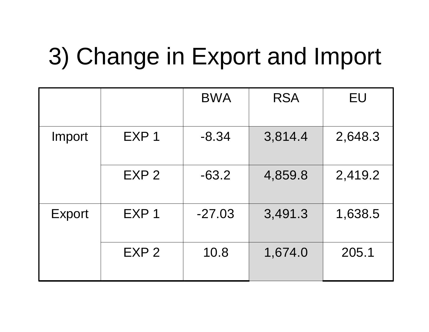# 3) Change in Export and Import

|        |                  | <b>BWA</b> | <b>RSA</b> | EU      |
|--------|------------------|------------|------------|---------|
| Import | EXP <sub>1</sub> | $-8.34$    | 3,814.4    | 2,648.3 |
|        | EXP <sub>2</sub> | $-63.2$    | 4,859.8    | 2,419.2 |
| Export | EXP 1            | $-27.03$   | 3,491.3    | 1,638.5 |
|        | EXP <sub>2</sub> | 10.8       | 1,674.0    | 205.1   |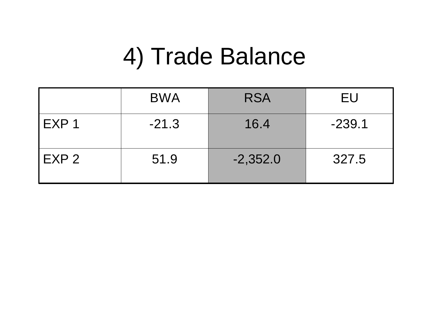## 4) Trade Balance

|                  | <b>BWA</b> | <b>RSA</b> | EU       |
|------------------|------------|------------|----------|
| EXP <sub>1</sub> | $-21.3$    | 16.4       | $-239.1$ |
| EXP 2            | 51.9       | $-2,352.0$ | 327.5    |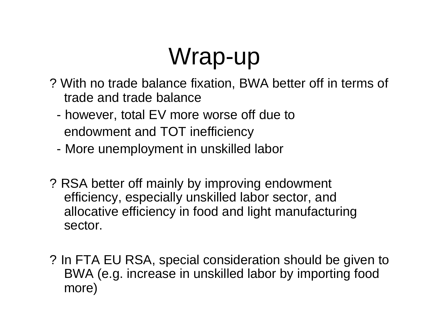# Wrap-up

- ? With no trade balance fixation, BWA better off in terms of trade and trade balance
	- however, total EV more worse off due to endowment and TOT inefficiency
	- More unemployment in unskilled labor
- ? RSA better off mainly by improving endowment efficiency, especially unskilled labor sector, and allocative efficiency in food and light manufacturing sector.
- ? In FTA EU RSA, special consideration should be given to BWA (e.g. increase in unskilled labor by importing food more)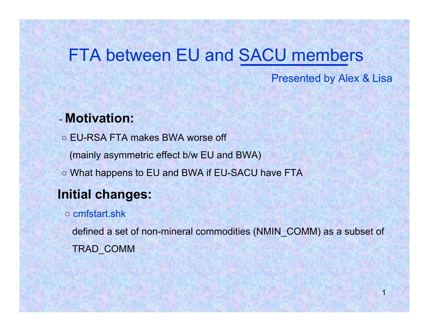#### FTA between EU and SACU members

Presented by Alex & Lisa

1

#### - **Motivation:**

○ EU-RSA FTA makes BWA worse off (mainly asymmetric effect b/w EU and BWA) ○ What happens to EU and BWA if EU-SACU have FTA **Initial changes:**

#### ○ cmfstart.shk

defined a set of non-mineral commodities (NMIN\_COMM) as a subset of TRAD\_COMM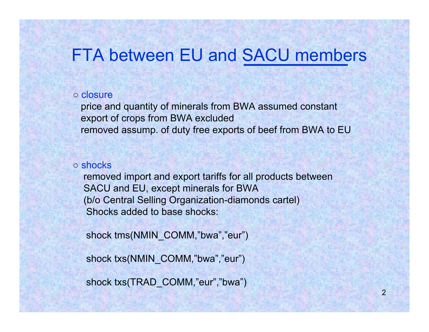#### FTA between EU and SACU members

#### ○ closure

price and quantity of minerals from BWA assumed constant export of crops from BWA excluded removed assump. of duty free exports of beef from BWA to EU

#### ○ shocks

removed import and export tariffs for all products between SACU and EU, except minerals for BWA (b/o Central Selling Organization-diamonds cartel) Shocks added to base shocks:

shock tms(NMIN\_COMM,"bwa","eur")

shock txs(NMIN\_COMM,"bwa","eur")

shock txs(TRAD\_COMM,"eur","bwa")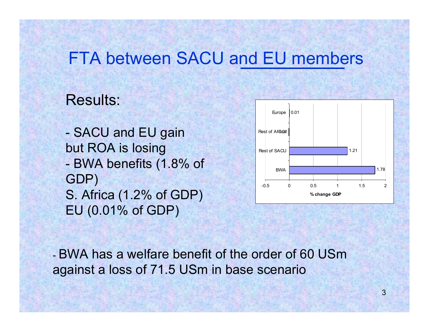#### FTA between SACU and EU members

#### Results:

- SACU and EU gain but ROA is losing - BWA benefits (1.8% of GDP) S. Africa (1.2% of GDP) EU (0.01% of GDP)



- BWA has a welfare benefit of the order of 60 USmagainst a loss of 71.5 USm in base scenario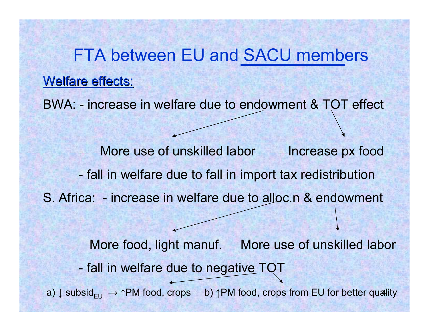a)  $\downarrow$  subsid<sub>EU</sub>  $\;\rightarrow$  ↑PM food, crops b) ↑PM food, crops from EU for better quality FTA between EU and SACU members Welfare effects: BWA: - increase in welfare due to endowment & TOT effect More use of unskilled labor Increase px food - fall in welfare due to fall in import tax redistribution S. Africa: - increase in welfare due to alloc.n & endowment More food, light manuf. More use of unskilled labor - fall in welfare due to negative TOT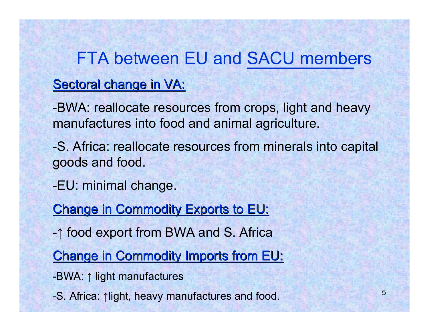## FTA between EU and SACU members

#### Sectoral change in VA:

-BWA: reallocate resources from crops, light and heavy manufactures into food and animal agriculture.

-S. Africa: reallocate resources from minerals into capital goods and food.

-EU: minimal change.

Change in Commodity Exports to EU:

- ↑ food export from BWA and S. Africa

Change in Commodity Imports from EU:

-BWA: ↑ light manufactures

-S. Africa: ↑light, heavy manufactures and food.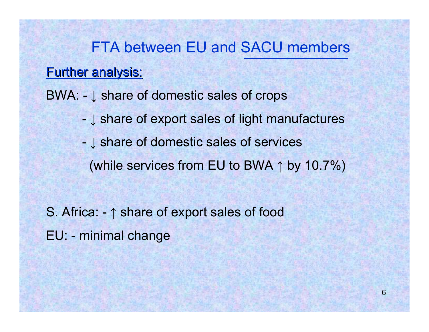#### FTA between EU and SACU members

#### **Further analysis:**

BWA: - ↓ share of domestic sales of crops

- ↓ share of export sales of light manufactures
- ↓ share of domestic sales of services (while services from EU to BWA ↑ by 10.7%)

S. Africa: - ↑ share of export sales of food

EU: - minimal change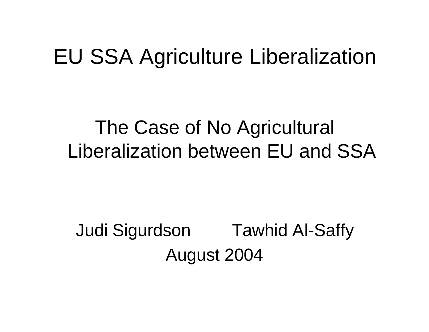## EU SSA Agriculture Liberalization

### The Case of No Agricultural Liberalization between EU and SSA

## Judi Sigurdson Tawhid Al-Saffy August 2004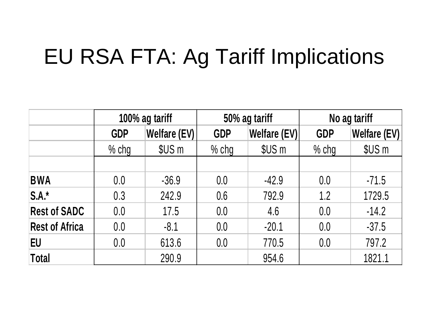## EU RSA FTA: Ag Tariff Implications

|                       | 100% ag tariff |              | 50% ag tariff |              | No ag tariff |                     |
|-----------------------|----------------|--------------|---------------|--------------|--------------|---------------------|
|                       | <b>GDP</b>     | Welfare (EV) | <b>GDP</b>    | Welfare (EV) | <b>GDP</b>   | <b>Welfare (EV)</b> |
|                       | $%$ chg        | \$US m       | $%$ chg       | \$US m       | $%$ chg      | \$US m              |
|                       |                |              |               |              |              |                     |
| <b>BWA</b>            | 0.0            | $-36.9$      | 0.0           | $-42.9$      | 0.0          | $-71.5$             |
| $S.A.*$               | 0.3            | 242.9        | 0.6           | 792.9        | 1.2          | 1729.5              |
| <b>Rest of SADC</b>   | 0.0            | 17.5         | 0.0           | 4.6          | 0.0          | $-14.2$             |
| <b>Rest of Africa</b> | 0.0            | $-8.1$       | 0.0           | $-20.1$      | 0.0          | $-37.5$             |
| <b>EU</b>             | 0.0            | 613.6        | 0.0           | 770.5        | 0.0          | 797.2               |
| Total                 |                | 290.9        |               | 954.6        |              | 1821.1              |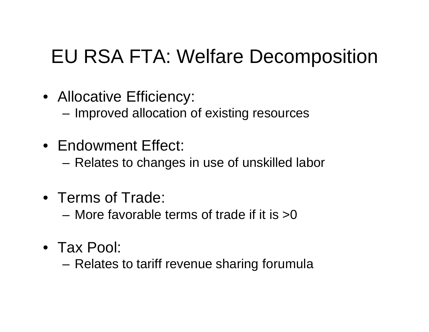## EU RSA FTA: Welfare Decomposition

- Allocative Efficiency:
	- Improved allocation of existing resources
- Endowment Effect:
	- Relates to changes in use of unskilled labor
- Terms of Trade:
	- More favorable terms of trade if it is >0
- Tax Pool:
	- Relates to tariff revenue sharing forumula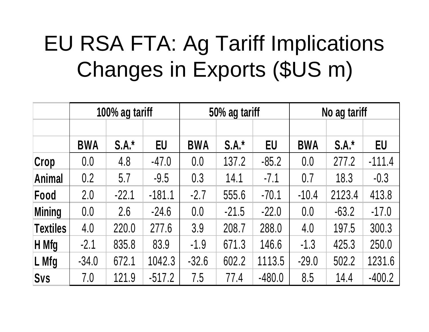## EU RSA FTA: Ag Tariff Implications Changes in Exports (\$US m)

|                 | 100% ag tariff |         | 50% ag tariff |            |         | No ag tariff |            |         |          |
|-----------------|----------------|---------|---------------|------------|---------|--------------|------------|---------|----------|
|                 |                |         |               |            |         |              |            |         |          |
|                 | <b>BWA</b>     | $S.A.*$ | <b>EU</b>     | <b>BWA</b> | $S.A.*$ | <b>EU</b>    | <b>BWA</b> | $S.A.*$ | EU       |
| Crop            | 0.0            | 4.8     | $-47.0$       | 0.0        | 137.2   | $-85.2$      | 0.0        | 277.2   | $-111.4$ |
| <b>Animal</b>   | 0.2            | 5.7     | $-9.5$        | 0.3        | 14.1    | $-7.1$       | 0.7        | 18.3    | $-0.3$   |
| Food            | 2.0            | $-22.1$ | $-181.1$      | $-2.7$     | 555.6   | $-70.1$      | $-10.4$    | 2123.4  | 413.8    |
| <b>Mining</b>   | 0.0            | 2.6     | $-24.6$       | 0.0        | $-21.5$ | $-22.0$      | 0.0        | $-63.2$ | $-17.0$  |
| <b>Textiles</b> | 4.0            | 220.0   | 277.6         | 3.9        | 208.7   | 288.0        | 4.0        | 197.5   | 300.3    |
| H Mfg           | $-2.1$         | 835.8   | 83.9          | $-1.9$     | 671.3   | 146.6        | $-1.3$     | 425.3   | 250.0    |
| L Mfg           | $-34.0$        | 672.1   | 1042.3        | $-32.6$    | 602.2   | 1113.5       | $-29.0$    | 502.2   | 1231.6   |
| <b>Svs</b>      | 7.0            | 121.9   | $-517.2$      | 7.5        | 77.4    | $-480.0$     | 8.5        | 14.4    | $-400.2$ |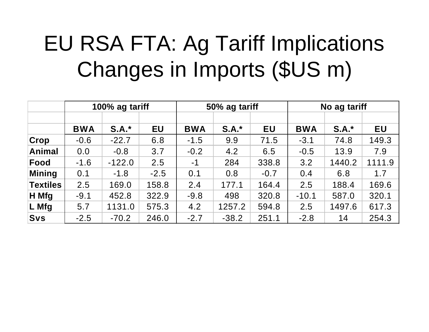## EU RSA FTA: Ag Tariff Implications Changes in Imports (\$US m)

|               | 100% ag tariff |          | 50% ag tariff |            |         | No ag tariff |            |         |           |
|---------------|----------------|----------|---------------|------------|---------|--------------|------------|---------|-----------|
|               |                |          |               |            |         |              |            |         |           |
|               | <b>BWA</b>     | $S.A.*$  | <b>EU</b>     | <b>BWA</b> | $S.A.*$ | <b>EU</b>    | <b>BWA</b> | $S.A.*$ | <b>EU</b> |
| Crop          | $-0.6$         | $-22.7$  | 6.8           | $-1.5$     | 9.9     | 71.5         | $-3.1$     | 74.8    | 149.3     |
| <b>Animal</b> | 0.0            | $-0.8$   | 3.7           | $-0.2$     | 4.2     | 6.5          | $-0.5$     | 13.9    | 7.9       |
| Food          | $-1.6$         | $-122.0$ | 2.5           | $-1$       | 284     | 338.8        | 3.2        | 1440.2  | 1111.9    |
| Mining        | 0.1            | $-1.8$   | $-2.5$        | 0.1        | 0.8     | $-0.7$       | 0.4        | 6.8     | 1.7       |
| Textiles      | 2.5            | 169.0    | 158.8         | 2.4        | 177.1   | 164.4        | 2.5        | 188.4   | 169.6     |
| H Mfg         | $-9.1$         | 452.8    | 322.9         | $-9.8$     | 498     | 320.8        | $-10.1$    | 587.0   | 320.1     |
| L Mfg         | 5.7            | 1131.0   | 575.3         | 4.2        | 1257.2  | 594.8        | 2.5        | 1497.6  | 617.3     |
| <b>Svs</b>    | $-2.5$         | $-70.2$  | 246.0         | $-2.7$     | $-38.2$ | 251.1        | $-2.8$     | 14      | 254.3     |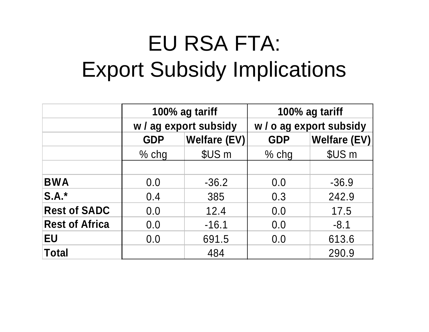## EU RSA FTA: Export Subsidy Implications

|                       |            | 100% ag tariff        | 100% ag tariff<br>w / o ag export subsidy |                   |  |
|-----------------------|------------|-----------------------|-------------------------------------------|-------------------|--|
|                       |            | w / ag export subsidy |                                           |                   |  |
|                       | <b>GDP</b> | Welfare (EV)          | <b>GDP</b>                                | Welfare (EV)      |  |
|                       | $%$ chg    | \$US m                | $%$ chg                                   | \$US <sub>m</sub> |  |
|                       |            |                       |                                           |                   |  |
| <b>BWA</b>            | 0.0        | $-36.2$               | 0.0                                       | $-36.9$           |  |
| $S.A.*$               | 0.4        | 385                   | 0.3                                       | 242.9             |  |
| <b>Rest of SADC</b>   | 0.0        | 12.4                  | 0.0                                       | 17.5              |  |
| <b>Rest of Africa</b> | 0.0        | $-16.1$               | 0.0                                       | $-8.1$            |  |
| <b>EU</b>             | 0.0        | 691.5                 | 0.0                                       | 613.6             |  |
| <b>Total</b>          |            | 484                   |                                           | 290.9             |  |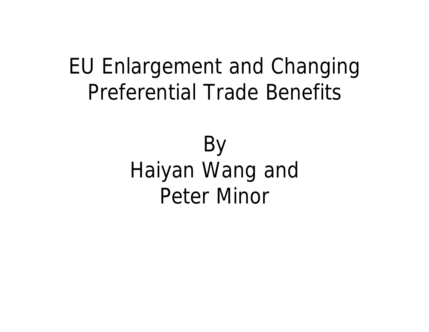## EU Enlargement and Changing Preferential Trade Benefits

## By Haiyan Wang and Peter Minor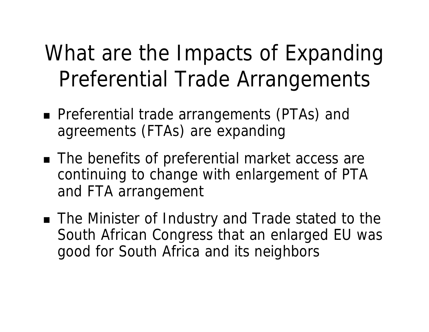## What are the Impacts of Expanding Preferential Trade Arrangements

- Preferential trade arrangements (PTAs) and agreements (FTAs) are expanding
- The benefits of preferential market access are continuing to change with enlargement of PTA and FTA arrangement
- The Minister of Industry and Trade stated to the South African Congress that an enlarged EU was good for South Africa and its neighbors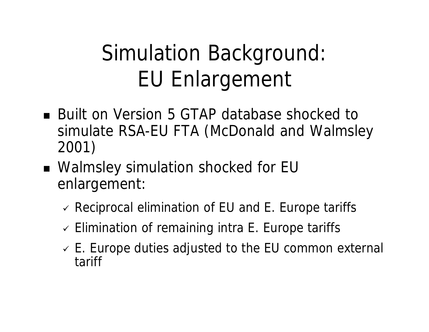## Simulation Background: EU Enlargement

- Built on Version 5 GTAP database shocked to simulate RSA-EU FTA (McDonald and Walmsley 2001)
- Walmsley simulation shocked for EU enlargement:
	- $\vee$  Reciprocal elimination of EU and E. Europe tariffs
	- $\checkmark$  Elimination of remaining intra E. Europe tariffs
	- $\checkmark$  E. Europe duties adjusted to the EU common external tariff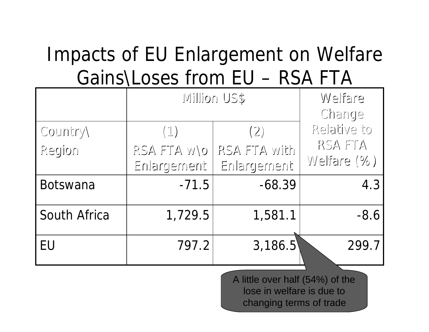## Impacts of EU Enlargement on Welfare Gains\Loses from EU – RSA FTA

|                    | SU noillim                       | Welfare<br>Change                  |                                       |
|--------------------|----------------------------------|------------------------------------|---------------------------------------|
| Country)<br>Region | (1)<br>RSA FTA WO<br>Enlargement | (2)<br>RSA FTA with<br>Enlargement | Relative to<br>RSA FTA<br>Welfare (%) |
| <b>Botswana</b>    | $-71.5$                          | $-68.39$                           | 4.3                                   |
| South Africa       | 1,729.5                          | 1,581.1                            | $-8.6$                                |
| EU                 | 797.2                            | 3,186.5                            | 299.7                                 |

A little over half (54%) of the lose in welfare is due to changing terms of trade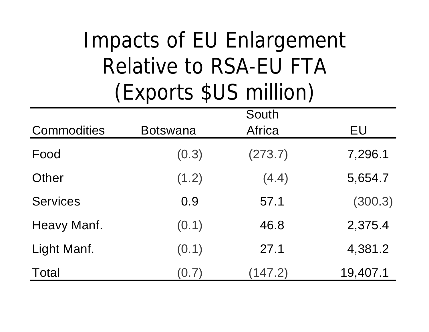## Impacts of EU Enlargement Relative to RSA-EU FTA (Exports \$US million)

|                    |                 | South   |          |
|--------------------|-----------------|---------|----------|
| <b>Commodities</b> | <b>Botswana</b> | Africa  | EU       |
| Food               | (0.3)           | (273.7) | 7,296.1  |
| Other              | (1.2)           | (4.4)   | 5,654.7  |
| <b>Services</b>    | 0.9             | 57.1    | (300.3)  |
| Heavy Manf.        | (0.1)           | 46.8    | 2,375.4  |
| Light Manf.        | (0.1)           | 27.1    | 4,381.2  |
| <b>Total</b>       | (0.7)           | (147.2) | 19,407.1 |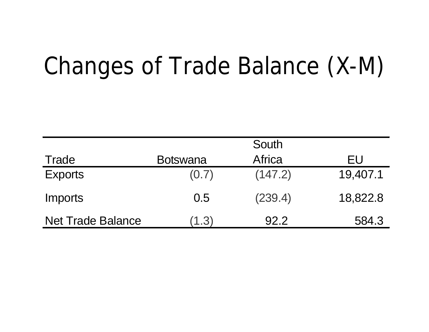# Changes of Trade Balance (X-M)

|                          |                 | South         |          |
|--------------------------|-----------------|---------------|----------|
| Trade                    | <b>Botswana</b> | <b>Africa</b> | EU       |
| <b>Exports</b>           | (0.7)           | (147.2)       | 19,407.1 |
| <b>Imports</b>           | 0.5             | (239.4)       | 18,822.8 |
| <b>Net Trade Balance</b> | (1.3)           | 92.2          | 584.3    |